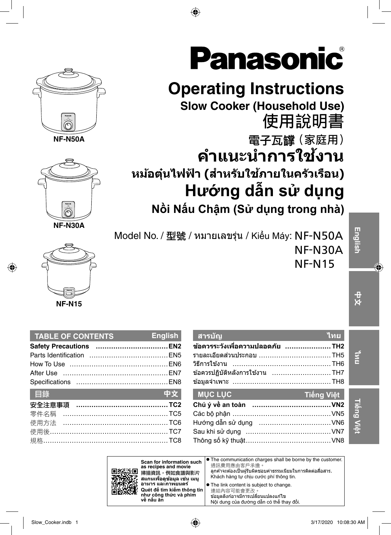

**NF-N50A**



**NF-N30A**



◈

| 中文                       |
|--------------------------|
|                          |
|                          |
| 使用方法 …………………………………………TC6 |
|                          |
|                          |
|                          |

**TABLE OF CONTENTS English**

| ่สารบัญ                                 | <b>ไทย</b> |
|-----------------------------------------|------------|
| ข้อควรระวังเพื่อความปลอดภัย TH2         |            |
| รายละเอียดส่วนประกอบ ………………………………………TH5 |            |
|                                         |            |
| ข้อควรปฏิบัติหลังการใช้งาน TH7          |            |
|                                         |            |
|                                         |            |
| <b>MUC LUC</b>                          | Tiếng Việt |
|                                         |            |
|                                         |            |
|                                         |            |
|                                         |            |

The communication charges shall be borne by the customer. 通訊費用應由客戶承擔 ัลกค้าจะต้องเป็นผรับผิดชอบค่าธรรมเนียมในการติดต่อสื่อสาร. Khách hàng tự chịu cước phí thông tin. **The link content is subject to change.** 

連結內容可能會更改

```
้ขอมลลิงก์อาจมีการเปลี่ยนแปลงแก่ไข
Nội dung của đường dẫn có thể thay đổi.
```


# **Operating Instructions**

⊕

**Slow Cooker (Household Use)** 使用說明書

雷子瓦罐 (家庭用) **คาแนะน ํ ําการใชงาน ้ หมอต้ นไฟฟ ุ๋ ้า (สาหร ํ บใช ั ภายในคร ้ วเร ั อน) ื Hướng dẫn sử dụng Nồi Nấu Chậm (Sử dụng trong nhà)**

Model No. / 型號 / หมายเลขรุ่น / Kiểu Máy: NF-N50A NF-N30A NF-N15

**ไทย**

**Tiếng Việt**

|                          |  | <b>Ch</b> |
|--------------------------|--|-----------|
| ·名稱 ……………………………………………TC5 |  | Cá        |
| 方法 …………………………………………… TC6 |  | Hur       |
|                          |  | Sa        |
|                          |  | The       |
|                          |  |           |
|                          |  |           |



**สแกนเพอดืѷ ขู อม้ ล เช ู น เมน ่ ู อาหาร และภาพยนตร์ Quét để tìm kiếm thông tin như công thức và phim** 

**về nấu ăn**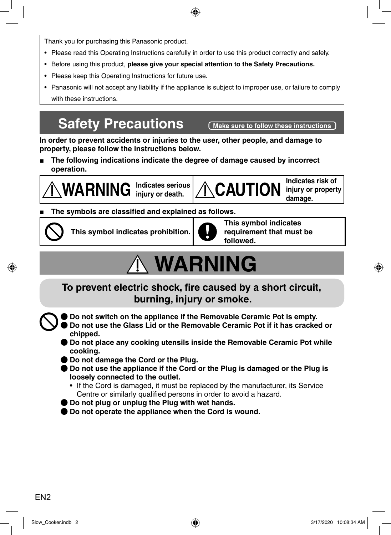Thank you for purchasing this Panasonic product.

• Please read this Operating Instructions carefully in order to use this product correctly and safely.

⊕

- Before using this product, **please give your special attention to the Safety Precautions.**
- Please keep this Operating Instructions for future use.
- Panasonic will not accept any liability if the appliance is subject to improper use, or failure to comply with these instructions.

### **Safety Precautions** (Make sure to follow these instructions)

**In order to prevent accidents or injuries to the user, other people, and damage to property, please follow the instructions below.**

**■ The following indications indicate the degree of damage caused by incorrect operation.**

**WARNING Indicates serious** 

Indicates serious **CAUTION** injury or property

**damage.**

◈

#### **The symbols are classified and explained as follows.**



**This symbol indicates prohibition.**



**This symbol indicates requirement that must be followed.**

# **WARNING**

To prevent electric shock, fire caused by a short circuit,  **burning, injury or smoke.**

ƪ **Do not switch on the appliance if the Removable Ceramic Pot is empty.**

- ƪ **Do not use the Glass Lid or the Removable Ceramic Pot if it has cracked or chipped.**
- ƪ **Do not place any cooking utensils inside the Removable Ceramic Pot while cooking.**
- ƪ **Do not damage the Cord or the Plug.**
- Do not use the appliance if the Cord or the Plug is damaged or the Plug is **loosely connected to the outlet.**
	- If the Cord is damaged, it must be replaced by the manufacturer, its Service Centre or similarly qualified persons in order to avoid a hazard.
- ƪ **Do not plug or unplug the Plug with wet hands.**
- **Do not operate the appliance when the Cord is wound.**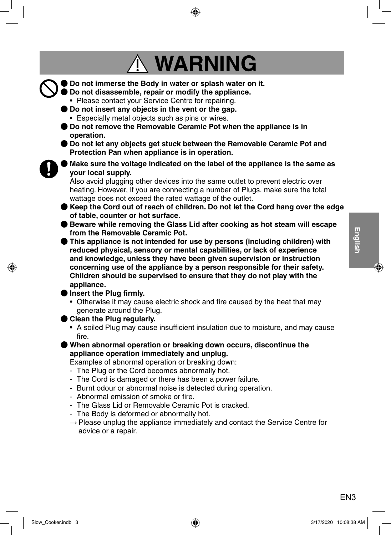# **WARNING**

- ƪ **Do not immerse the Body in water or splash water on it.** ƪ **Do not disassemble, repair or modify the appliance.** • Please contact your Service Centre for repairing. ƪ **Do not insert any objects in the vent or the gap.** • Especially metal objects such as pins or wires. ƪ **Do not remove the Removable Ceramic Pot when the appliance is in operation. ● Do not let any objects get stuck between the Removable Ceramic Pot and Protection Pan when appliance is in operation.** ƪ **Make sure the voltage indicated on the label of the appliance is the same as your local supply.** Also avoid plugging other devices into the same outlet to prevent electric over heating. However, if you are connecting a number of Plugs, make sure the total wattage does not exceed the rated wattage of the outlet.
	- ƪ **Keep the Cord out of reach of children. Do not let the Cord hang over the edge of table, counter or hot surface.**
	- Beware while removing the Glass Lid after cooking as hot steam will escape **from the Removable Ceramic Pot.**
	- ƪ **This appliance is not intended for use by persons (including children) with reduced physical, sensory or mental capabilities, or lack of experience and knowledge, unless they have been given supervision or instruction concerning use of the appliance by a person responsible for their safety. Children should be supervised to ensure that they do not play with the appliance.**
	- Insert the Plug firmly.
		- Otherwise it may cause electric shock and fire caused by the heat that may generate around the Plug.
	- ƪ **Clean the Plug regularly.**
		- A soiled Plug may cause insufficient insulation due to moisture, and may cause fire.
	- ƪ **When abnormal operation or breaking down occurs, discontinue the appliance operation immediately and unplug.**

Examples of abnormal operation or breaking down:

- The Plug or the Cord becomes abnormally hot.
- The Cord is damaged or there has been a power failure.
- Burnt odour or abnormal noise is detected during operation.
- Abnormal emission of smoke or fire
- The Glass Lid or Removable Ceramic Pot is cracked.
- The Body is deformed or abnormally hot.
- $\rightarrow$  Please unplug the appliance immediately and contact the Service Centre for advice or a repair.

English EN3**English**

⊙

FN<sub>3</sub>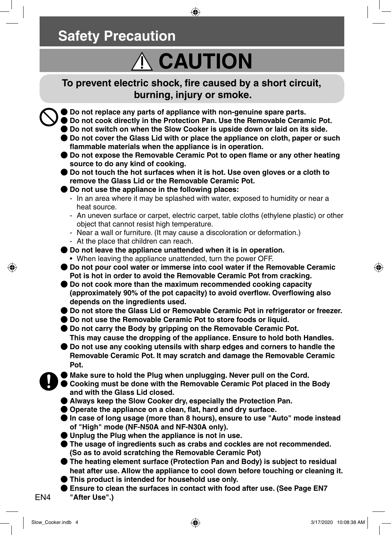### **Safety Precaution**

# **CAUTION**

♠

To prevent electric shock, fire caused by a short circuit,  **burning, injury or smoke.**

ƪ **Do not replace any parts of appliance with non-genuine spare parts.**

- ƪ **Do not cook directly in the Protection Pan. Use the Removable Ceramic Pot.**
- ƪ **Do not switch on when the Slow Cooker is upside down or laid on its side.**
- Do not cover the Glass Lid with or place the appliance on cloth, paper or such flammable materials when the appliance is in operation.
- I Do not expose the Removable Ceramic Pot to open flame or any other heating **source to do any kind of cooking.**
- ƪ **Do not touch the hot surfaces when it is hot. Use oven gloves or a cloth to remove the Glass Lid or the Removable Ceramic Pot.**
- ƪ **Do not use the appliance in the following places:**
- In an area where it may be splashed with water, exposed to humidity or near a heat source.
- An uneven surface or carpet, electric carpet, table cloths (ethylene plastic) or other object that cannot resist high temperature.
- Near a wall or furniture. (It may cause a discoloration or deformation.)
- At the place that children can reach.
- ƪ **Do not leave the appliance unattended when it is in operation.**
	- When leaving the appliance unattended, turn the power OFF.
- ƪ **Do not pour cool water or immerse into cool water if the Removable Ceramic Pot is hot in order to avoid the Removable Ceramic Pot from cracking.**
- ƪ **Do not cook more than the maximum recommended cooking capacity**  (approximately 90% of the pot capacity) to avoid overflow. Overflowing also **depends on the ingredients used.**
- ƪ **Do not store the Glass Lid or Removable Ceramic Pot in refrigerator or freezer.**
- Do not use the Removable Ceramic Pot to store foods or liquid.
- ƪ **Do not carry the Body by gripping on the Removable Ceramic Pot. This may cause the dropping of the appliance. Ensure to hold both Handles.**
- **Do not use any cooking utensils with sharp edges and corners to handle the Removable Ceramic Pot. It may scratch and damage the Removable Ceramic Pot.**
- Make sure to hold the Plug when unplugging. Never pull on the Cord.
- ƪ **Cooking must be done with the Removable Ceramic Pot placed in the Body and with the Glass Lid closed.**
- ƪ **Always keep the Slow Cooker dry, especially the Protection Pan.**
- Operate the appliance on a clean, flat, hard and dry surface.
- ƪ **In case of long usage (more than 8 hours), ensure to use "Auto" mode instead of "High" mode (NF-N50A and NF-N30A only).**
- ƪ **Unplug the Plug when the appliance is not in use.**
- ƪ **The usage of ingredients such as crabs and cockles are not recommended. (So as to avoid scratching the Removable Ceramic Pot)**
- ƪ **The heating element surface (Protection Pan and Body) is subject to residual heat after use. Allow the appliance to cool down before touching or cleaning it.**
- ƪ **This product is intended for household use only.**
- Ensure to clean the surfaces in contact with food after use. (See Page EN7
- **"After Use".)**

EN4

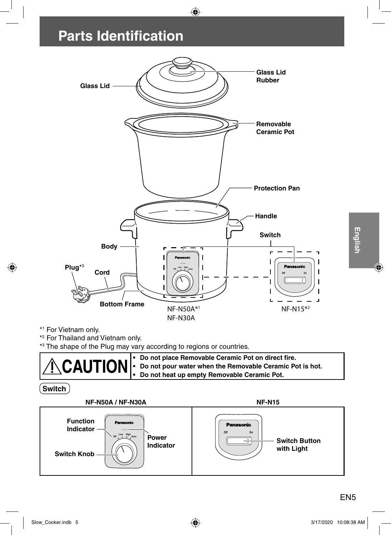## **Parts Identification**



 $\bigoplus$ 

\*2 For Thailand and Vietnam only.

\*3 The shape of the Plug may vary according to regions or countries.

| <b>CAUTION</b> : Do not place Removable Ceramic Pot on direct fire.<br>CAUTION : Do not pour water when the Removable Ceramic Pot is hot.<br>Do not heat up empty Removable Ceramic Pot. |
|------------------------------------------------------------------------------------------------------------------------------------------------------------------------------------------|
|                                                                                                                                                                                          |
|                                                                                                                                                                                          |

**Switch**

◈



EN<sub>5</sub>

English

◈

Slow\_Cooker.indb 5 3/17/2020 10:08:38 AM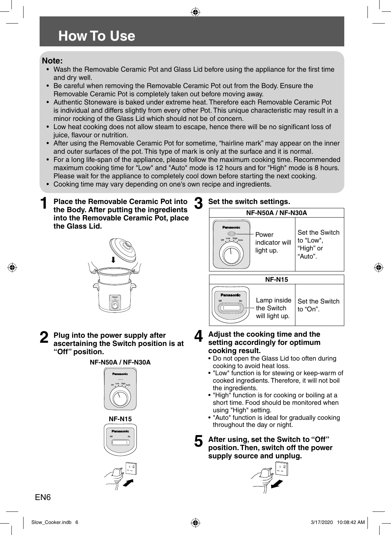### **How To Use**

#### **Note:**

• Wash the Removable Ceramic Pot and Glass Lid before using the appliance for the first time and dry well.

♠

- Be careful when removing the Removable Ceramic Pot out from the Body. Ensure the Removable Ceramic Pot is completely taken out before moving away.
- Authentic Stoneware is baked under extreme heat. Therefore each Removable Ceramic Pot is individual and differs slightly from every other Pot. This unique characteristic may result in a minor rocking of the Glass Lid which should not be of concern.
- Low heat cooking does not allow steam to escape, hence there will be no significant loss of juice, flavour or nutrition.
- After using the Removable Ceramic Pot for sometime, "hairline mark" may appear on the inner and outer surfaces of the pot. This type of mark is only at the surface and it is normal.
- For a long life-span of the appliance, please follow the maximum cooking time. Recommended maximum cooking time for "Low" and "Auto" mode is 12 hours and for "High" mode is 8 hours. Please wait for the appliance to completely cool down before starting the next cooking.
- Cooking time may vary depending on one's own recipe and ingredients.
- **1 Place the Removable Ceramic Pot into the Body. After putting the ingredients into the Removable Ceramic Pot, place the Glass Lid.**



**2 Plug into the power supply after ascertaining the Switch position is at "Off" position.**





#### **3 Set the switch settings.**



- **4 Adjust the cooking time and the setting accordingly for optimum cooking result.**
	- Do not open the Glass Lid too often during cooking to avoid heat loss.
	- "Low" function is for stewing or keep-warm of cooked ingredients. Therefore, it will not boil the ingredients.
	- "High" function is for cooking or boiling at a short time. Food should be monitored when using "High" setting.
	- "Auto" function is ideal for gradually cooking throughout the day or night.
	- **5 After using, set the Switch to "Off" position. Then, switch off the power supply source and unplug.**

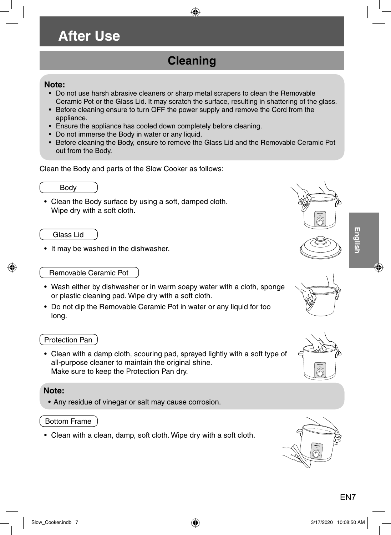### **After Use**

### **Cleaning**

⊕

#### **Note:**

- Do not use harsh abrasive cleaners or sharp metal scrapers to clean the Removable Ceramic Pot or the Glass Lid. It may scratch the surface, resulting in shattering of the glass.
- Before cleaning ensure to turn OFF the power supply and remove the Cord from the appliance.
- Ensure the appliance has cooled down completely before cleaning.
- Do not immerse the Body in water or any liquid.
- Before cleaning the Body, ensure to remove the Glass Lid and the Removable Ceramic Pot out from the Body.

Clean the Body and parts of the Slow Cooker as follows:



• Clean the Body surface by using a soft, damped cloth. Wipe dry with a soft cloth.

Glass Lid

• It may be washed in the dishwasher.



# **English**

⊙

#### Removable Ceramic Pot

- Wash either by dishwasher or in warm soapy water with a cloth, sponge or plastic cleaning pad. Wipe dry with a soft cloth.
- Do not dip the Removable Ceramic Pot in water or any liquid for too long.

#### Protection Pan

• Clean with a damp cloth, scouring pad, sprayed lightly with a soft type of all-purpose cleaner to maintain the original shine. Make sure to keep the Protection Pan dry.

#### **Note:**

• Any residue of vinegar or salt may cause corrosion.

#### Bottom Frame

• Clean with a clean, damp, soft cloth. Wipe dry with a soft cloth.





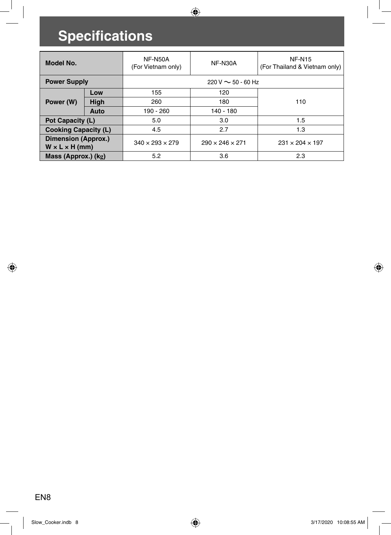# **Specifications**

 $\overline{\phantom{a}}$ 

 $\bigoplus$ 

| Model No.                                                      |                                | <b>NF-N50A</b><br>(For Vietnam only) | <b>NF-N30A</b>              | <b>NF-N15</b><br>(For Thailand & Vietnam only) |
|----------------------------------------------------------------|--------------------------------|--------------------------------------|-----------------------------|------------------------------------------------|
| <b>Power Supply</b><br>$220 \text{ V} \sim 50 - 60 \text{ Hz}$ |                                |                                      |                             |                                                |
|                                                                | Low                            | 155                                  | 120                         |                                                |
| Power (W)                                                      | High                           | 260                                  | 180                         | 110                                            |
|                                                                | Auto                           | 190 - 260                            | 140 - 180                   |                                                |
|                                                                | 5.0<br>3.0<br>Pot Capacity (L) |                                      | 1.5                         |                                                |
| <b>Cooking Capacity (L)</b>                                    |                                | 4.5<br>2.7<br>1.3                    |                             |                                                |
| <b>Dimension (Approx.)</b><br>$W \times L \times H$ (mm)       |                                | $340 \times 293 \times 279$          | $290 \times 246 \times 271$ | $231 \times 204 \times 197$                    |
| Mass (Approx.) (kg)                                            |                                | 5.2                                  | 3.6                         | 2.3                                            |

 $\bigcirc$ 

 $\bigoplus$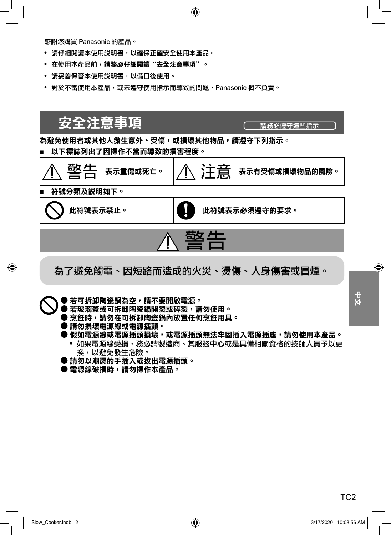

感謝您購買 Panasonic 的產品。

- 請仔細閱讀本使用説明書,以確保正確安全使用本產品。
- 在使用本產品前,請務必仔細閱讀"安全注意事項"。
- 請妥善保管本使用説明書,以備日後使用。
- 對於不當使用本產品,或未遵守使用指示而導致的問題,Panasonic 概不負責。

安全注意事項 <del> </del> 為避免使用者或其他人發生意外、受傷,或捐壞其他物品,請澊守下列指示。 以下標誌列出了因操作不當而導致的損害程度。 崓◷ ߒҰ१༌ܖԫιȄ 㺕㊼ ߒҰԤڧ༌ܖཬᚽސࠢޟॳᓎȄ 符號分類及説明如下。 此符號表示禁止。 此符號表示必須遵守的要求。 <u>敬生</u> 為了避免觸電、因短路而造成的火災、燙傷、人身傷害或冒煙。  $\frac{4}{\mathbf{X}}$ TC2<br>UC2 ● 若可拆卸陶瓷鍋為空,請不要開啟電源。 ● 若玻璃蓋或可拆卸陶瓷鍋開裂或碎裂,請勿使用。 ● 烹飪時,請勿在可拆卸陶瓷鍋內放置任何烹飪用具。 ● 請勿損壞電源線或電源插頭。 ▶ 假如電源線或電源插頭損壞,或電源插頭無法牢固插入電源插座,請勿使用本產品。 • 如果電源線受損,務必請製造商、其服務中心或是具備相關資格的技師人員予以更 換,以避免發生危險。 ● 請勿以潮濕的手插入或拔出電源插頭。 ▶ 電源線破損時,請勿操作本產品。

◈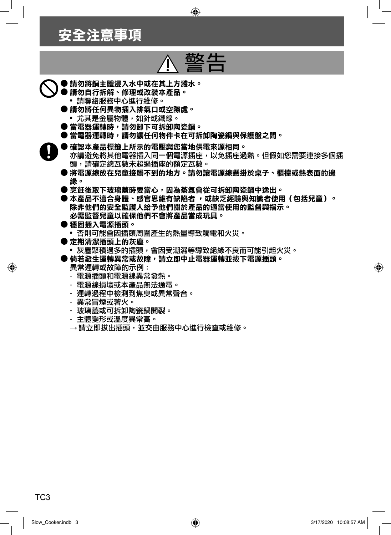### 安全注意事項

# 敬生

 $\bigoplus$ 

- 請勿將鍋主體浸入水中或在其上方濺水。
	- ▶請勿自行拆解丶修理或改裝本產品。 • 請聯絡服務中心進行維修。
		- 請勿將任何異物插入排氣口或空隙處。
			- 尤其是金屬物體,如針或鐵線。
		- 當電器運轉時,請勿卸下可拆卸陶瓷鍋。
	- 當電器運轉時,請勿讓任何物件卡在可拆卸陶瓷鍋與保護盤之間。
	- 確認本產品標籤上所示的電壓與您當地供電來源相同。
		- 亦請避免將其他電器插入同一個電源插座,以免插座過熱。但假如您需要連接多個插 頭,請確定總瓦數未超過插座的額定瓦數。
		- 將電源線放在兒童接觸不到的地方。請勿讓電源線懸掛於桌子、櫃檯或熱表面的邊 缘。
		- 烹飪後取下玻璃蓋時要當心,因為蒸氣會從可拆卸陶瓷鍋中逸出。
		- 本產品不適合身體、感官思維有缺陷者 ,或缺乏經驗與知識者使用(包括兒童)。 除非他們的安全監護人給予他們關於產品的適當使用的監督與指示。 必需監督兒童以確保他們不會將產品當成玩具。
		- 穩固插入電源插頭。
		- 否則可能會因插頭周圍產生的熱量導致觸電和火災。
		- ▶定期清潔插頭上的灰塵。
		- 灰塵聚積過多的插頭,會因受潮濕等導致絕緣不良而可能引起火災。
		- 倘若發生運轉異常或故障,請立即中止電器運轉並拔下電源插頭。 異常運轉或故障的示例:
			- 電源插頭和電源線異常發熱。
			- 電源線損壞或本產品無法通電。
			- 運轉過程中檢測到焦臭或異常聲音。
			- 異常冒煙或著火。
			- 玻璃蓋或可拆卸陶瓷鍋開裂。
			- 主體變形或溫度異常高。
			- $\rightarrow$  請立即拔出插頭,並交由服務中心進行檢查或維修。

◈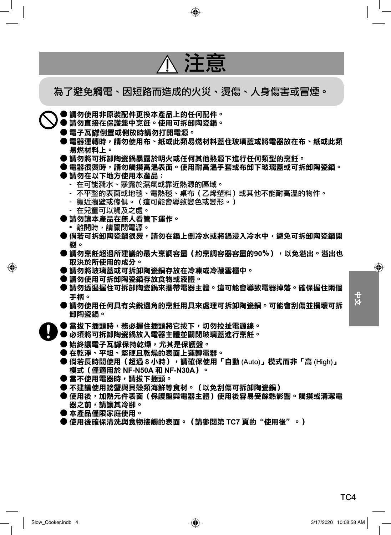

TC<sub>4</sub>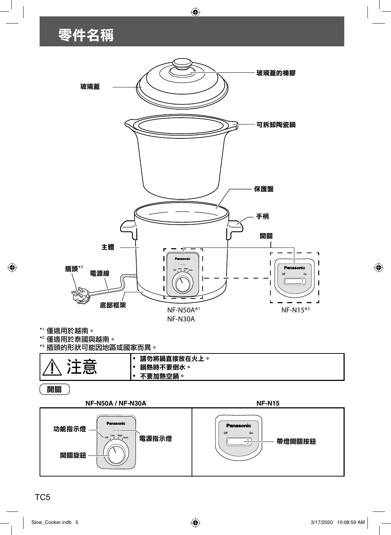# 零件名稱



 $\bigoplus$ 



TC5

◈

Slow\_Cooker.indb 5 3/17/2020 10:08:59 AM

 $\bigcirc$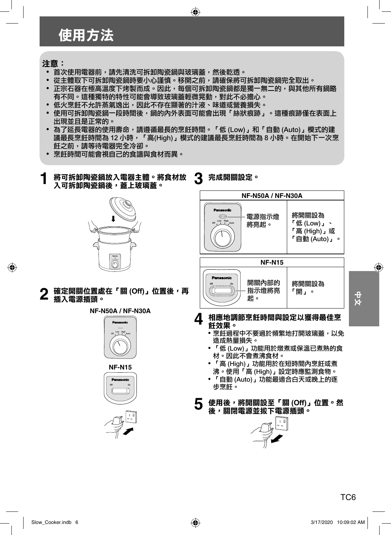### 使用方法

#### 注意:

◈

- 首次使用雷器前,請先清洗可拆卸陶瓷鍋與玻璃蓋,然後乾诱。
- 從主體取下可拆卸陶瓷緺時要小心謹慎。移開之前,請確保將可拆卸陶瓷綿完全取出。
- 正宗石器在極高溫度下烤製而成。因此,每個可拆卸陶瓷鍋都是獨一無二的,與其他所有鍋略 有不同。這種獨特的特性可能會導致玻璃蓋輕微晃動,對此不必擔心。

 $\bigoplus$ 

- 低火烹飦不允許蒸氣浼出,因此不存在顯著的汁液、味道或營養捐失。
- 使用可拆卸陶瓷鍋一段時間後,鍋的內外表面可能會出現「絲狀痕跡」。這種痕跡僅在表面上 出現並且是正常的。
- 為了延長電器的使用壽命,請遵循最長的烹飪時間。「低 (Low),和「自動 (Auto),模式的建 議最長烹飪時間為 12 小時,「高(High)」模式的建議最長烹飪時間為 8 小時。在開始下一次烹 飪之前,請等待電器完全冷卻。
- 烹飪時間可能會視自己的食譜與食材而異。
- **3** 完成開關設定。 將可拆卸陶瓷鍋放入電器主體。將食材放 入可拆卸陶瓷鍋後,蓋上玻璃蓋。 **NF-N50A / NF-N30A** 將開關設為 電源指示燈 **Off Low High Auto**  $^{\mathsf{r}}$ 低 (Low)」、 將亮起。 「高 (High)」或 『自動 (Auto)』。 **NF-N15 Off Low High Auto Panasonic** 開關內部的 將開關設為 確定開關位置處在「關(Off)」位置後,再 指示燈將亮 「開」。 TC6ϛМ ଔȄ 插入電源插頭。 **NF-N50A / NF-N30A** A 相應地調節烹飪時間與設定以獲得最佳烹 飪效果。 • 烹飪過程中不要過於頻繁地打開玻璃蓋,以免 **Off Low High Auto** 造成熱暈損失。 • 「低 (Low)」功能用於燉煮或保溫已煮熟的食 材。因此不會煮沸食材。 • 「高 (High) 」功能用於在短時間內烹飪或煮 **NF-N15** 沸。使用「高 (High)」設定時應監測食物。 • 「自動 (Auto)」功能最適合白天或晚上的逐 **Off On** 步烹飪。 5 使用後,將開關設至「關(Off)」位置。然 後,關閉電源並拔下電源插頭。



 $\frac{4}{x}$ 

TC<sub>6</sub>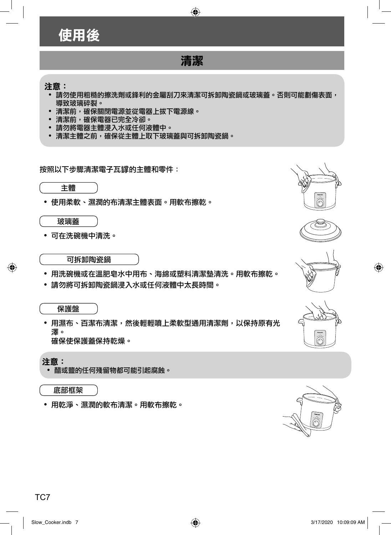

- 請勿將電器主體浸入水或任何液體中。
- 清潔主體之前,確保從主體上取下玻璃蓋與可拆卸陶瓷鍋。

按照以下步驟清潔電子瓦罉的主體和零件:



• 使用柔軟、濕潤的布清潔主體表面。用軟布擦乾。



• 可在洗碗機中清洗。



可拆卸陶瓷鍋

- 用洗碗機或在溫肥皂水中用布、海綿或塑料清潔墊清洗。用軟布擦乾。
- 請勿將可拆卸陶瓷鍋浸入水或仟何液體中太長時間。

#### 保護盤

• 用濕布、百潔布清潔,然後輕輕噴上柔軟型通用清潔劑,以保持原有光 澤。 確保使保護条保持乾燥。



◈

**Off Low High Auto**

注意:

• 醋或鹽的任何殘留物都可能引起腐蝕。

底部框架

• 用乾淨、濕潤的軟布清潔。用軟布擦乾。

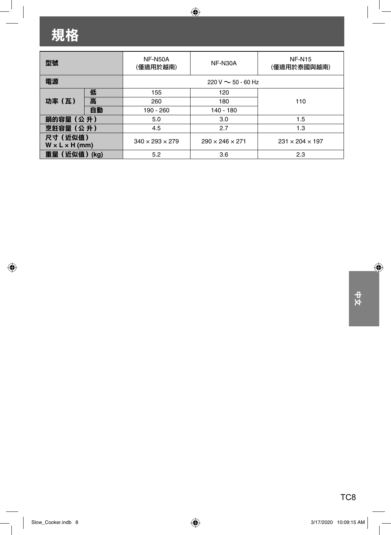# 規格

 $\equiv$ 

 $\bigoplus$ 

 $\begin{array}{c} \hline \end{array}$ 

| 型號                                     |      | <b>NF-N50A</b><br>(僅適用於越南)  | NF-N30A                     | <b>NF-N15</b><br>(僅適用於泰國與越南) |
|----------------------------------------|------|-----------------------------|-----------------------------|------------------------------|
| 電源                                     |      | $220 V \sim 50 - 60 Hz$     |                             |                              |
|                                        | 低    | 155                         | 120                         |                              |
| 功率 (瓦)                                 | 高    | 260                         | 180                         | 110                          |
|                                        | 自動   | 190 - 260                   | 140 - 180                   |                              |
| 鍋的容量 (公升)                              |      | 5.0                         | 3.0                         | 1.5                          |
| 烹飪容量 (公升)                              |      | 4.5<br>2.7<br>1.3           |                             |                              |
| 尺寸 (近似值)<br>$W \times L \times H$ (mm) |      | $340 \times 293 \times 279$ | $290 \times 246 \times 271$ | $231 \times 204 \times 197$  |
| 重量(近似值)                                | (kq) | 5.2                         | 3.6                         | 2.3                          |

 $\bigoplus$ 

⊕

 $\overline{\phantom{a}}$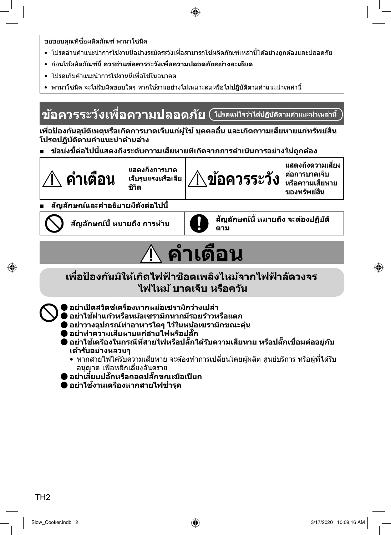◈

- ึ ขอขอบคณที่ซื้อผลิตภัณฑ์ พานาโซนิค
- โปรดอ่านคำแนะนำการใช้งานนี้อย่างระมัดระวังเพื่อสามารถใช้ผลิตภัณฑ์เหล่านี้ได้อย่างถกต้องและปลอดภัย
- กอนใช ่ ผล้ ตภิ ณฑั น์ ีѸ**ควรอานข ่ อควรระว ้ งเพั อความปลอดภ ืѷ ยอย ั างละเอ ่ ยดี**
- โปรดเก็บดำแบะบำการใช่งานนี้เพื่อใช้ในอนาคต
- พานาโซนิค จะไม่รับผิดชอบใดๆ หากใช้งานอย่างไม่เหมาะสมหรือไม่ปฏิบัติตามคำแนะนำเหล่านี้

### **ขอควรระว ้ งเพั อความปลอดภ ืѷ ยั โปรดแนใจว ่ าได ่ ปฏ้ บิ ตัตามค ิ าแนะน ํ ําเหลาน่ ีҟ**

้เพื่อป้องกันอบัติเหตหรือเกิดการบาดเจ็บแก่ผ้ใช้ บุคคลอื่น และเกิดความเสียหายแก่ทรัพย์สิน **โปรดปฏบิ ตัตามค ิ าแนะน ํ ําดานล ้ าง่**

ข้อบ่งชี้ต่อไปนี้แสดงถึงระดับความเสียหายที่เกิดจากการดำเนินการอย่างไม่ถกต้อง



◈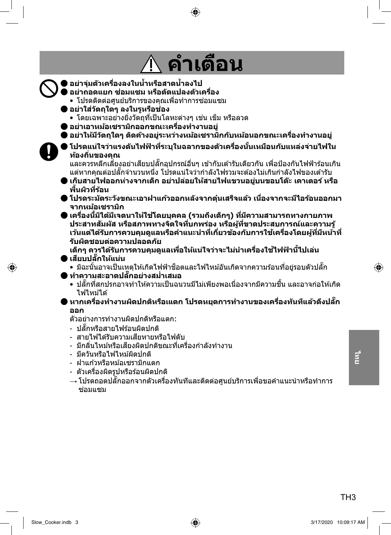#### **คาเต อน ํ ื**

⊕

ƪ **อยาจ่ มตุ่ วเคร ั องลงในน ืѷ ําหร ҟ อสาดน ื ําลงไป ҟ** ƪ **อยาถอดแยก ซ ่ อมแซม หร ่ อดื ดแปลงต ั วเคร ั องืѷ** • โปรดติดต่อศนย์บริการของคณเพื่อทำการซ่อมแซม ƪ **อยาใส ่ ว่ ตถั ใดๆ ลงในร ุ หร ู อชื อง่** • โดยเฉพาะอย่างยิ่งวัตถที่เป็นโลหะต่างๆ เช่น เข็ม หรือลวด ƪ **อยาเอาหม ่ อเซราม ้ กออกขณะเคร ิ องท ืѷ างานอย ํ ู่** ● อย่าให้มีวัตถใดๆ ติดค้างอย่ระหว่างหม้อเชรามิกกับหม้อนอกขณะเครื่องทำงานอย่ ● โปรดแน่ใจว่าแรงดันไฟฟ้าที่ระบุในฉลากของตัวเครื่องนั้นเหมือนกับแหล่งจ่ายไฟใน **ทองถ ้ นของค ิѷ ณุ** และควรหลีกเลี้ยงอย่าเสียบปลั๊กอุปกรณ์อื่นๆ เข้ากับเต้ารับเดียวกัน เพื่อป้องกันไฟฟ้าร้อนเกิน แต่หากคณต่อปลั๊กจำนวนหนึ่ง โปรดแน่ใจว่ากำลังไฟรวมจะต้องไม่เกินกำลังไฟของเต้ารับ ƪ **เก็บสายไฟออกหางจากเด ่ ็ก อยาปล ่ อยให ่ สายไฟแขวนอย ้ บนขอบโต ู่ ะ เคาเตอร ๊ หร ์ อื** พื้นผิวที่ร้อน ƪ **โปรดระมดระว ั งขณะเอาฝาแก ั วออกหล ้ งจากต ั นเสร ุ๋ ็จแลว เน ้ องจากจะม ืѷ ไอร ี อนออกมา ้ จากหมอเซราม ้ กิ** ƪ **เครองน ืѷ มีҟ ไดิ ม้ เจตนาให ี ใช้ โดยบ ้ คคล (รวมถ ุ งเดึ ็กๆ) ทมีѷ ความสามารถทางกายภาพ ี ประสาทสมผั ส หร ั อสภาพทางจ ื ตใจท ิ บกพร ีѷ อง หร ่ อผื ทู้ ขาดประสบการณ ีѷ และความร ์ ู้** เว้นแต่ได้รับการควบคุมดูแลหรือคำแนะนำที่เกี่ยวข้องกับการใช้เครื่องโดยผู้ที่มีหน้าที่ **รบผั ดชอบต ิ อความปลอดภ ่ ยั** เด็กๆ ควรได้รับการควบคมดแลเพื่อให้แน่ใจว่าจะไม่นำเครื่องใช้ไฟฟ้านี้ไปเล่น ƪ **เสยบปล ี กให Ҡั แน้ น่** • มิฉะนั้นอาจเป็นเหตุให้เกิดไฟฟ้าช็อตและไฟไหม้อันเกิดจากความร้อนที่อยู่รอบตัวปลั๊ก ƪ **ทาความสะอาดปล ํ กอย Ҡั างสม ่ าเสมอ ํѷ** • ปลั๊กที่สกปรกอาจทำให้ความเป็นฉนวนมีไม่เพียงพอเนื่องจากมีความชื้น และอาจก่อให้เกิด ไฟไหมได้ ้ ) หากเครื่องทำงานผิดปกติหรือแเตก โปรดหยุดการทำงานของเครื่องทันทีแล้วดึงปลั๊ก **ออก** ตัวอย่างการทำงานผิดปกติหรือแตก: - ปลั๊กหรือสายไฟร้อบผิดปกติ - สายไฟได้รับความเสียหายหรือไฟดับ

- มีกลิ่นไหม้หรือเสียงผิดปกติขณะที่เครื่องกำลังทำงาน
- มีควันหรือไฟไหม้ผิดปกติ
- ฝาแก้วหรือหม้อเซรามิกแตก
- ตัวเครื่องผิดรปหรือร้อนผิดปกติ
- $\rightarrow$  โปรดถอดปลั๊กออกจากตัวเครื่องทันทีและติดต่อศนย์บริการเพื่อขอคำแนะนำหรือทำการ ซอมแซม ่



♠

⊕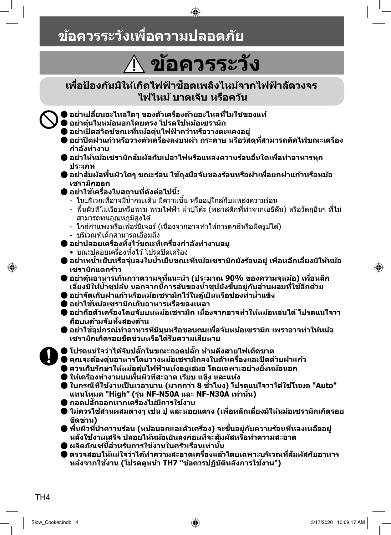## **ขอควรระว ้ งเพั อความปลอดภ ืѷ ยั**

#### **ขอควรระว ง ้ ั**

♠

#### **เพอปืѷ ้องกนมั ใหิ เก้ ดไฟฟ ิ ้าช็ อตเพลงไหม ิ จากไฟฟ ้ ้าลดวงจร ั ไฟไหม บาดเจ ้ ็บ หรอคว ื นั**

ƪ **อยาเปล ่ ยนอะไหล ีѷ ใดๆ ของต ่ วเคร ั องด ืѷ วยอะไหล ้ ท่ ไมีѷ ใช่ ของแท ่ ้**

- ƪ **อยาต่ นในหม ุ๋ อนอกโดยตรง โปรดใช ้ หม้ อเซราม ้ กิ**
- ƪ **อยาเป่ ิดสวตชิ ขณะท ์ หมีѷ อต้ นไฟฟ ุ๋ ้าควาหร ํѷ อวางตะแคงอย ื ู่**
- อย่าปิดฝาแก้วหรือวางตัวเครื่องลงบนผ้า กระดาษ หรือวัสดที่สามารถติดไฟขณะเครื่อง **กาลํ งทั างาน ํ**
- ) อย่าให้หม้อเชรามิกสัมผัสกับเปลวไฟหรือแหล่งความร้อนอื่นใดเพื่อทำอาหารทก **ประเภท**
- อย่าสัมผัสพื้นผิวใดๆ ขณะร้อน ใช้ถงมือจับของร้อนหรือผ้าเพื่อยกฝาแก้วหรือหม้อ **เซรามกออก ิ**
- ƪ **อยาใช ่ เคร ้ องในสถานท ืѷ ดีѷ งตั อไปน ่ :ีҟ**
	- ่ ในบริเวณที่อาจมีน้ำกระเด็น มีความชื่น หรืออยู่ใกล้กับแหล่งความร้อน
	- ้ พื้นผิวที่ไม่เรียบหรือพรม พรมไฟฟ้า ผ้าปูโต๊ะ (พลาสติกที่ทำจากเอธีลีน) หรือวัตถุอื่นๆ ที่ไม่ สามารถทนอุณหภูมิสูงได้
	- ้ ใกล้กำแพงหรือเฟอร์นิเจอร์ (เนื่องจากอาจทำให้การตกสีหรือผิดรูปได้)
	- บริเวณที่เด็กสามารถเอื้อมถึง
- ƪ **อยาปล ่ อยเคร ่ องท ืѷ งไว ิҟ ขณะท ้ เคร ีѷ องก ืѷ าลํ งทั างานอย ํ ู่**
	- ขณะปล่อยเครื่องทิ้งไว้ โปรดปิดเครื่อง
- อย่าเทน้ำเย็นหรือจุ่มลงในน้ำเย็นขณะที่หม้อเชรามิกยังร้อนอยู่ เพื่อหลีกเลี่ยงมิให้หม้อ เชรามิกแตกร้าว
- ƪ **อยาต่ นอาหารเก ุ๋ นกว ิ าความจ ่ ทุ แนะน ีѷ ํา (ประมาณ 90% ของความจหมุ อ) เพ ้ อหล ืѷ กี** เลี่ยงมิให้น้ำชุปล้น นอกจากนี้การล้นของน้ำชุปยังขึ้นอยู่กับส่วนผสมที่ใช้อีกด้วย
- อย่าจัดเก็บฝาแก้วหรือหม้อเขรามิกไว้ในต้เย็นหรือช่องทำน้ำแข็ง
- ƪ **อยาใช ่ หม้ อเซราม ้ กเก ิ ็บอาหารหรอของเหลว ื**
- ) อย่าถือตัวเครื่องโดยจับบนหม้อเชรามิก เนื่องจากอาจทำให้หม้อหล่นได้ โปรดแน่ใจว่า **ถอบนด ื ามจ ้ บทั งสองด ัҟ าน้**
- อย่าใช้อุปกรณ์ทำอาหารที่มีมุมหรือขอบคมเพื่อจับหม้อเชรามิก เพราอาจทำให้หม้อ **เซรามกเก ิ ดรอยข ิ ดขี วนหร ่ อได ื ร้บความเส ั ยหาย ี**
- ƪ **โปรดแนใจว ่ าได ่ จ้บปล ั กในขณะถอดปล Ҡั ก ห Ҡั ามด ้ งสายไฟเด ึ ็ดขาด**
- $^\prime$  คณจะต้องต๋นอาหารโดยวางหม้อเชรามิกลงในตัวเครื่องและปิดด้วยฝาแก้ว
- ƪ **ควรเก็บรกษาให ั หม้ อต้ นไฟฟ ุ๋ ้าแหงอย ้ เสมอ โดยเฉพาะอย ู่ างย ่ งหม ิѷ อนอก ้**
- ƪ **ใหเคร ้ องท ืѷ างานบนพ ํ นผืҟ วทิ สะอาด เร ีѷ ยบ แข ี ็ง และแหง้**
- ƪ **ในกรณีทใชีѷ งานเป ้ ็นเวลานาน (มากกวา 8 ช ่ วโมง) โปรดแน ѷั ใจว ่ าได ่ ใช้ โหมด "Auto" ้ แทนโหมด "High" (รน NF-N50A และ NF-N30A เท ุ่ าน่ น)ัҟ**
- ƪ **ถอดปลกออกหากเคร Ҡั องไม ืѷ ม่ การใช ี งาน ้**
- ไม่ควรใช้ส่วนผสมต่างๆ เช่น ปู และหอยแครง (เพื่อหลีกเลี่ยงมิให้หม้อเชรามิกเกิดรอย **ขดขี วน) ่**
- ) พื้นผิวที่นำความร้อน (หม้อนอกและตัวเครื่อง) จะขึ้นอยู่กับความร้อนที่หลงเหลืออยู่ **หลงใชั งานเสร ้ ็จ ปลอยให ่ หม้ อเย ้ ็นลงกอนท ่ จะส ีѷ มผั สหร ั อทื าความสะอาด ํ**
- ƪ **ผลตภิ ณฑั น์ สีҟ าหร ํ บการใช ั งานในคร ้ วเร ั อนเท ื าน่ นัҟ**
- ์) ตรวจสอบให้แน่ใจว่าได้ทำความสะอาดเครื่องแล้วโดยเฉพาะบริเวณที่สัมผัสกับอาหาร **หลงจากใช ้ งาน (โปรดด ้ หนู า TH7 "ข ้ อควรปฏ ้ บิ ตัหลิ งการใช ั งาน") ้**

◈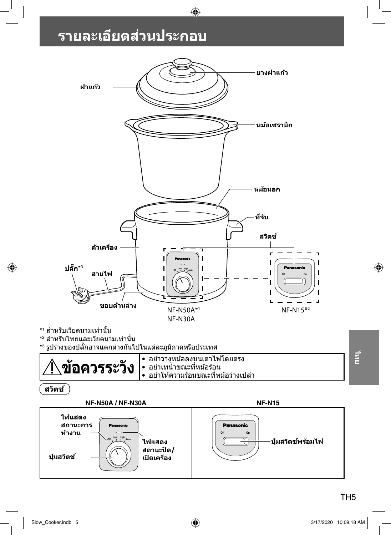## **รายละเอยดส ี วนประกอบ ่**



 $\bigoplus$ 

TH<sub>5</sub>

Slow\_Cooker.indb 5 3/17/2020 10:09:18 AM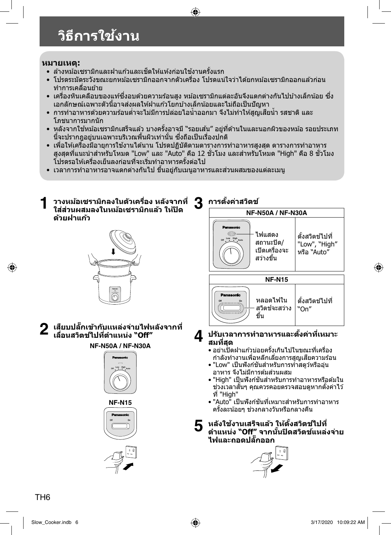# **วธิการใช ี งาน ้**

#### **หมายเหต:ุ**

- ล้างหม้อเซรามิกและฝาแก้วและเช็ดให้แห้งก่อนใช้งานครั้งแรก
- โปรดระมัดระวังขณะยกหม้อเซรามิกออกจากตัวเครื่อง โปรดแน่ใจว่าได้ยกหม้อเซรามิกออกแล้วก่อน ทำการเคลื่อนย้าย
- เครื่องหินเคลือบของแท้ซึ่งอบด้วยความร้อนสง หม้อเซรามิกแต่ละอันจึงแตกต่างกันไปบ้างเล็กน้อย ซึ่ง ี เอกลักษณ์เฉพาะตัวนี้อาจส่งผลให้ฝาแก้วโยกบ้างเล็กน้อยและไม่ถือเป็นปัญหา

 $\bigoplus$ 

- การทำอาหารด้วยความร้อนต่ำจะไม่มีการปล่อยไอน้ำออกมา จึงไม่ทำให้สูญเสียน้ำ รสชาติ และ โภชนาการมากนัก
- หลังจากใช้หม้อเซรามิกเสร็จแล้ว บางครั้งอาจมี ``รอยเส้น″ อยู่ที่ด้านในและนอกผิวของหม้อ รอยประเภท นี้จะปรากภอย่บนเฉพาะบริเวณพื้นผิวเท่านั้น ซึ่งถือเป็นเรื่องปกติ
- เพื่อให้เครื่องมีอายุการใช้งานได้นาน โปรดปฏิบัติตามตารางการทำอาหารสูงสุด ตารางการทำอาหาร สูงสุดที่แนะนำสำหรับโหมด "Low" และ "Auto" คือ 12 ขัวโมง และสำหรับโหมด "High" คือ 8 ขัวโมง โปรดรอให้เครื่องเย็นลงก่อนที่จะเริ่มทำอาหารครั้งต่อไป
- เวลาการทำอาหารอาจแตกต่างกันไป ขึ้นอย่กับเมนอาหารและส่วนผสมของแต่ละเมน
- **1 วางหมอเซราม ้ กลงในต ิ วเคร ั อง หล ืѷ งจากท ั ีѷ ใสส่ วนผสมลงในหม ่ อเซราม ้ กแล ิ ว ให ้ ป้ิด ดวยฝาแก ้ ว้**



 $2$  เสียบปลั๊กเข้ากับแหล่งจ่ายไฟหลังจากที่ **เลอนสว ืѷ ตชิ ไปท ์ ตีѷ าแหน ํ ง "Off" ่**

#### **NF-N50A / NF-N30A**







 $\mathbf{3}$  การตั้งค่าสวิตช์



**4 ปรบเวลาการท ั าอาหารและต ํ งคัҟ าท่ เหมาะ ีѷ สมทสีѷ ดุ**

- อย่าเปิดฝาแก้วบ่อยครั้งเกินไปในขณะที่เครื่อง ึกำลังทำงานเพื่อหลีกเลี่ยงการสฌเสียความร้อน
- "Low" เป็นฟังก์ชันสำหรับการทำสตูว์หรืออุ่น ื่อาหาร จึงไม่มีการต้มส่วนผสม
- "High" เป็นฟังก์ชันสำหรับการทำอาหารหรือต้มใน ี่ ช่วงเวลาสั้นๆ คณควรคอยตรวจสอบดหากตั้งค่าไว้ ที่ "High"
- "Auto" เป็นฟังก์ชันที่เหมาะสำหรับการทำอาหาร ้ ครั้งละน้อยๆ ช่วงกลางวันหรือกลางคืน
- **5 หลงใชั งานเสร ้ ็จแลว ให ้ ต้ งสว ัҟ ตชิ ไปท ์ ีѷ ตาแหน ํ ง "Off" จากน ่ นปัҟ ิดสวตชิ แหล ์ งจ่ าย่ ไฟและถอดปลกออก Ҡั**



TH6

⊕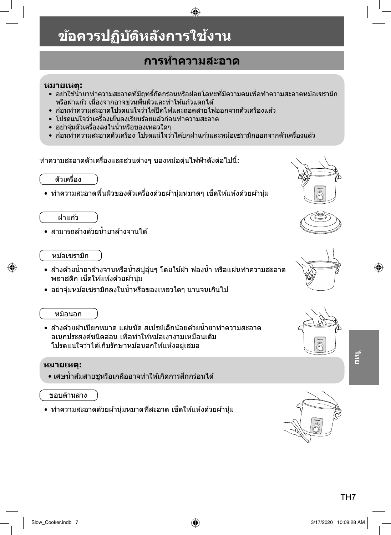# **ขอควรปฏ ้ บิ ตัหลิ งการใช ั งาน ้**

### **การทาความสะอาด ํ**

⊕

#### **หมายเหต:ุ**

- อย่าใช้น้ำยาทำความสะอาดที่มีถุทธิ์กัดกร่อนหรือฝอยโลหะที่มีความคมเพื่อทำความสะอาดหม้อเซรามิก ิหรือฝาแก้ว เนื่องจากอาจข่วนพื้นผิวและทำให้แก้วแตกได้
- ก่อนทำความสะอาดโปรดแน่ใจว่าได้ปิดไฟและถอดสายไฟออกจากตัวเครื่องแล้ว
- โปรดแน่ใจว่าเครื่องเย็นลงเรียบร้อยแล้วก่อนทำความสะอาด
- ∙ อย่าจุ่มตัวเครื่องลงในน้ำหรือของเหลวใดๆ
- ก่อนทำความสะอาดตัวเครื่อง โปรดแน่ใจว่าได้ยกฝาแก้วและหม้อเซรามิกออกจากตัวเครื่องแล้ว

ำทำความสะอาดตัวเครื่องและส่วนต่างๆ ของหม้อตุ๋นไฟฟ้าดังต่อไปนี้:

้ ตัวเครื่อง

• ทำความสะอาดพื้นผิวของตัวเครื่องด้วยผ้าน่มหมาดๆ เช็ดให้แห้งด้วยผ้าน่ม

ฝาแกว้

⊕

• สามารถล้างด้วยน้ำยาล้างจานได้

#### หม้อเซรามิก

- ล้างด้วยน้ำยาล้างจานหรือน้ำสบู่อุ่นๆ โดยใช้ผ้า ฟองน้ำ หรือแผ่นทำความสะอาด พลาสติก เช็ดให้แห้งด้วยผ้าน่ม
- อย่าจ่มหม้อเซรามิกลงในน้ำหรือของเหลวใดๆ นานจนเกินไป

#### หม้อนอก

• ล้างด้วยผ้าเปียกหมาด แผ่นขัด สเปรย์เล็กน้อยด้วยน้ำยาทำความสะอาด ื่อเนกประสงค์ชนิดอ่อน เพื่อทำให้หม้อเงางามเหมือนเดิม โปรดแน่ใจว่าได้เก็บรักษาหม้อนอกให้แห้งอย่เสมอ

#### **หมายเหต:ุ**

• เศษน้ำส้มสายชหรือเกลืออาจทำให้เกิดการสึกกร่อนได*้* 

#### ขอบด้านล่าง

• ทำความสะอาดด้วยผ้านุ่มหมาดที่สะอาด เช็ดให้แห้งด้วยผ้านุ่ม













TH<sub>7</sub>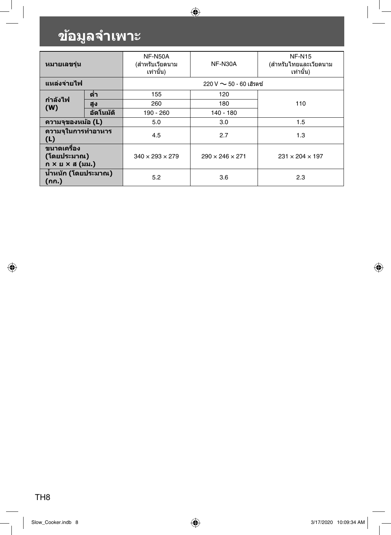# **ขอม้ ลจู าเพาะ ํ**

 $\mathcal{L}$ 

 $\bigcirc$ 

| หมายเลขร่น                                    |            | NF-N50A<br>(สำหรับเวียดนาม<br>เท่านั้น) | NF-N30A                        | <b>NF-N15</b><br>(สำหรับไทยและเวียดนาม<br>เท่านั้น) |
|-----------------------------------------------|------------|-----------------------------------------|--------------------------------|-----------------------------------------------------|
| แหล่งจ่ายไฟ                                   |            |                                         | $220$ V $\sim$ 50 - 60 เฮิรตซ์ |                                                     |
| ี่กำลังไฟ                                     | ด่ำ        | 155                                     | 120                            |                                                     |
| (W)                                           | สูง        | 260                                     | 180                            | 110                                                 |
|                                               | อัตโนมัติ  | 190 - 260                               | 140 - 180                      |                                                     |
| ี ความจของหม้อ (L)                            |            | 5.0                                     | 3.0                            | 1.5                                                 |
| ิความจุในการทำอาหาร<br>(L)                    | 4.5<br>2.7 |                                         | 1.3                            |                                                     |
| ขนาดเครื่อง<br>(โดยประมาณ)<br>ก × ย × ส (มม.) |            | $340 \times 293 \times 279$             | $290 \times 246 \times 271$    | $231 \times 204 \times 197$                         |
| ี น้ำหนัก (โดยประมาณ)<br>(กก.)                |            | 5.2                                     | 3.6                            | 2.3                                                 |

 $\bigcirc$ 

TH8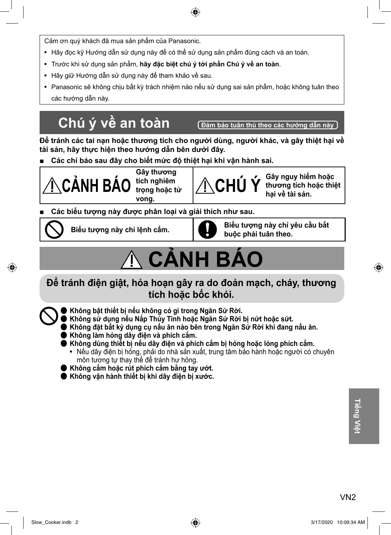Cảm ơn quý khách đã mua sản phẩm của Panasonic.

- Hãy đọc kỹ Hướng dẫn sử dụng này để có thể sử dụng sản phẩm đúng cách và an toàn.
- Trước khi sử dụng sản phẩm, **hãy đặc biệt chú ý tới phần Chú ý về an toàn**.
- Hãy giữ Hướng dẫn sử dụng này để tham khảo về sau.
- Panasonic sẽ không chịu bất kỳ trách nhiệm nào nếu sử dụng sai sản phẩm, hoặc không tuân theo các hướng dẫn này.

## **Chú ý về an toàn Đảm bảo tuân thủ theo các hướng dẫn này**

**Để tránh các tai nạn hoặc thương tích cho người dùng, người khác, và gây thiệt hại về tài sản, hãy thực hiện theo hướng dẫn bên dưới đây.**

**■ Các chỉ báo sau đây cho biết mức độ thiệt hại khi vận hành sai.**

**CẢNH BÁO Gây thương tích nghiêm trọng hoặc tử vong.**

**CHÚ Ý Gây nguy hiểm hoặc thương tích hoặc thiệt hại về tài sản.**

**■ Các biểu tượng này được phân loại và giải thích như sau.** 



◈

 **Biểu tượng này chỉ lệnh cấm. Biểu tượng này chỉ yêu cầu bắt buộc phải tuân theo.**

# **CẢNH BÁO**

#### **Để tránh điện giật, hỏa hoạn gây ra do đoản mạch, cháy, thương tích hoặc bốc khói.**

- ƪ **Không bật thiết bị nếu không có gì trong Ngăn Sứ Rời.**
	- ƪ **Không sử dụng nếu Nắp Thủy Tinh hoặc Ngăn Sứ Rời bị nứt hoặc sứt.**
	- ƪ **Không đặt bất kỳ dụng cụ nấu ăn nào bên trong Ngăn Sứ Rời khi đang nấu ăn.**
- ƪ **Không làm hỏng dây điện và phích cắm.**
- ƪ **Không dùng thiết bị nếu dây điện và phích cắm bị hỏng hoặc lỏng phích cắm.**
	- Nếu dây điện bị hỏng, phải do nhà sản xuất, trung tâm bảo hành hoặc người có chuyên môn tương tự thay thế để tránh hư hỏng.
- ƪ **Không cắm hoặc rút phích cắm bằng tay ướt.**
- ƪ **Không vận hành thiết bị khi dây điện bị xước.**

♠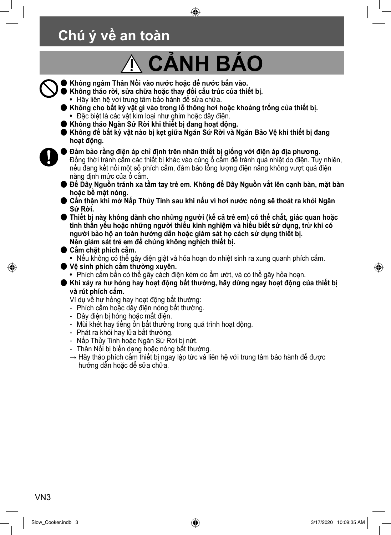## **Chú ý về an toàn**

# **CẢNH BÁO**

♠

- ƪ **Không ngâm Thân Nồi vào nước hoặc để nước bắn vào.**
	- ƪ **Không tháo rời, sửa chữa hoặc thay đổi cấu trúc của thiết bị.**
	- Hãy liên hệ với trung tâm bảo hành để sửa chữa.
	- ƪ **Không cho bất kỳ vật gì vào trong lỗ thông hơi hoặc khoảng trống của thiết bị.**
	- Đặc biệt là các vật kim loại như ghim hoặc dây điện.
	- ƪ **Không tháo Ngăn Sứ Rời khi thiết bị đang hoạt động.**
	- ƪ **Không để bất kỳ vật nào bị kẹt giữa Ngăn Sứ Rời và Ngăn Bảo Vệ khi thiết bị đang hoạt động.**
- 

⊕

ƪ **Đảm bảo rằng điện áp chỉ định trên nhãn thiết bị giống với điện áp địa phương.** Đồng thời tránh cắm các thiết bị khác vào cùng ổ cắm để tránh quá nhiệt do điện. Tuy nhiên, nếu đang kết nối một số phích cắm, đảm bảo tổng lượng điện năng không vượt quá điện năng định mức của ổ cắm.

- ƪ **Để Dây Nguồn tránh xa tầm tay trẻ em. Không để Dây Nguồn vắt lên cạnh bàn, mặt bàn hoặc bề mặt nóng.**
- ƪ **Cẩn thận khi mở Nắp Thủy Tinh sau khi nấu vì hơi nước nóng sẽ thoát ra khỏi Ngăn Sứ Rời.**
- ƪ **Thiết bị này không dành cho những người (kể cả trẻ em) có thể chất, giác quan hoặc tinh thần yếu hoặc những người thiếu kinh nghiệm và hiểu biết sử dụng, trừ khi có người bảo hộ an toàn hướng dẫn hoặc giám sát họ cách sử dụng thiết bị. Nên giám sát trẻ em để chúng không nghịch thiết bị.**
- ƪ **Cắm chặt phích cắm.**
	- Nếu không có thể gây điện giật và hỏa hoạn do nhiệt sinh ra xung quanh phích cắm.
- ƪ **Vệ sinh phích cắm thường xuyên.**
- Phích cắm bẩn có thể gây cách điện kém do ẩm ướt, và có thể gây hỏa hoạn.
- ƪ **Khi xảy ra hư hỏng hay hoạt động bất thường, hãy dừng ngay hoạt động của thiết bị và rút phích cắm.**

Ví dụ về hư hỏng hay hoạt động bất thường:

- Phích cắm hoặc dây điện nóng bất thường.
- Dây điện bị hỏng hoặc mất điện.
- Mùi khét hay tiếng ồn bất thường trong quá trình hoạt động.
- Phát ra khói hay lửa bất thường.
- Nắp Thủy Tinh hoặc Ngăn Sứ Rời bị nứt.
- Thân Nồi bị biến dạng hoặc nóng bất thường.
- $\rightarrow$  Hãy tháo phích cắm thiết bị ngay lập tức và liên hệ với trung tâm bảo hành để được hướng dẫn hoặc để sửa chữa.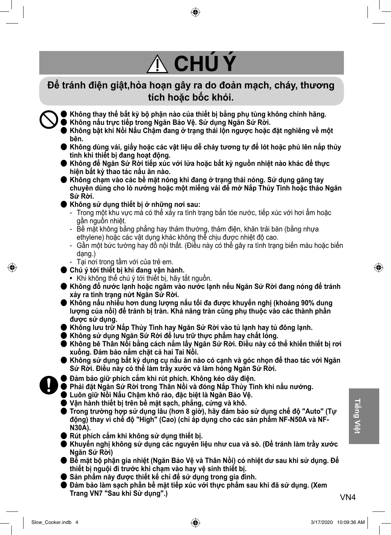# **CHÚ Ý**

#### **Để tránh điện giật,hỏa hoạn gây ra do đoản mạch, cháy, thương tích hoặc bốc khói.**

ƪ **Không thay thế bất kỳ bộ phận nào của thiết bị bằng phụ tùng không chính hãng.** ƪ **Không nấu trực tiếp trong Ngăn Bảo Vệ. Sử dụng Ngăn Sứ Rời.**

- ƪ **Không bật khi Nồi Nấu Chậm đang ở trạng thái lộn ngược hoặc đặt nghiêng về một bên.**
- ƪ **Không dùng vải, giấy hoặc các vật liệu dễ cháy tương tự để lót hoặc phủ lên nắp thủy tinh khi thiết bị đang hoạt động.**
- ƪ **Không để Ngăn Sứ Rời tiếp xúc với lửa hoặc bất kỳ nguồn nhiệt nào khác để thực hiện bất kỳ thao tác nấu ăn nào.**
- ƪ **Không chạm vào các bề mặt nóng khi đang ở trạng thái nóng. Sử dụng găng tay chuyên dùng cho lò nướng hoặc một miếng vải để mở Nắp Thủy Tinh hoặc tháo Ngăn Sứ Rời.**
- ƪ **Không sử dụng thiết bị ở những nơi sau:**
	- Trong một khu vực mà có thể xảy ra tình trạng bắn tóe nước, tiếp xúc với hơi ẩm hoặc gần nguồn nhiệt.
	- Bề mặt không bằng phẳng hay thảm thường, thảm điện, khăn trải bàn (bằng nhựa ethylene) hoặc các vật dụng khác không thể chịu được nhiệt độ cao.
	- Gần một bức tường hay đồ nội thất. (Điều này có thể gây ra tình trạng biến màu hoặc biến dạng.)
	- Tại nơi trong tầm với của trẻ em.
- ƪ **Chú ý tới thiết bị khi đang vận hành.**
	- Khi không thể chú ý tới thiết bị, hãy tắt nguồn.
- ƪ **Không đổ nước lạnh hoặc ngâm vào nước lạnh nếu Ngăn Sứ Rời đang nóng để tránh xảy ra tình trạng nứt Ngăn Sứ Rời.**
- ƪ **Không nấu nhiều hơn dung lượng nấu tối đa được khuyến nghị (khoảng 90% dung lượng của nồi) để tránh bị tràn. Khả năng tràn cũng phụ thuộc vào các thành phần được sử dụng.**
- ƪ **Không lưu trữ Nắp Thủy Tinh hay Ngăn Sứ Rời vào tủ lạnh hay tủ đông lạnh.**
- ƪ **Không sử dụng Ngăn Sứ Rời để lưu trữ thực phẩm hay chất lỏng.**
- ƪ **Không bê Thân Nồi bằng cách nắm lấy Ngăn Sứ Rời. Điều này có thể khiến thiết bị rơi xuống. Đảm bảo nắm chặt cả hai Tai Nồi.**
- ƪ **Không sử dụng bất kỳ dụng cụ nấu ăn nào có cạnh và góc nhọn để thao tác với Ngăn Sứ Rời. Điều này có thể làm trầy xước và làm hỏng Ngăn Sứ Rời.**
- ƪ **Đảm bảo giữ phích cắm khi rút phích. Không kéo dây điện.**
- ƪ **Phải đặt Ngăn Sứ Rời trong Thân Nồi và đóng Nắp Thủy Tinh khi nấu nướng.**
- ƪ **Luôn giữ Nồi Nấu Chậm khô ráo, đặc biệt là Ngăn Bảo Vệ.**
- ƪ **Vận hành thiết bị trên bề mặt sạch, phẳng, cứng và khô.**
- ƪ **Trong trường hợp sử dụng lâu (hơn 8 giờ), hãy đảm bảo sử dụng chế độ "Auto" (Tự động) thay vì chế độ "High" (Cao) (chỉ áp dụng cho các sản phẩm NF-N50A và NF-N30A).**
- ƪ **Rút phích cắm khi không sử dụng thiết bị.**
- ƪ **Khuyến nghị không sử dụng các nguyên liệu như cua và sò. (Để tránh làm trầy xước Ngăn Sứ Rời)**
- ƪ **Bề mặt bộ phận gia nhiệt (Ngăn Bảo Vệ và Thân Nồi) có nhiệt dư sau khi sử dụng. Để thiết bị nguội đi trước khi chạm vào hay vệ sinh thiết bị.**
- Sản phẩm này được thiết kế chỉ để sử dụng trong gia đình.
- $\blacktriangleright$  Đảm bảo làm sạch phần bề mặt tiếp xúc với thực phẩm sau khi đã sử dụng. (Xem **Trang VN7 "Sau khi Sử dụng".)**

VN4**Tiếng Việt**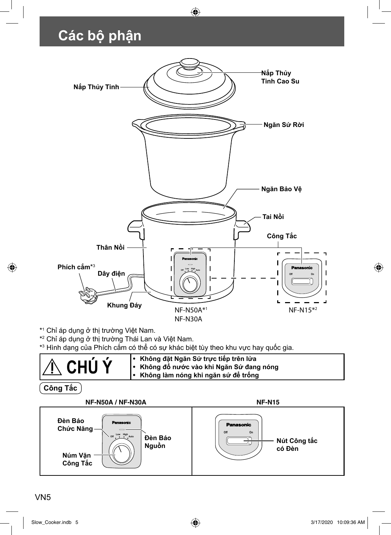## **Các bộ phận**



 $\bigoplus$ 

\*1 Chỉ áp dụng ở thị trường Việt Nam.

\*2 Chỉ áp dụng ở thị trường Thái Lan và Việt Nam.

\*3 Hình dạng của Phích cắm có thể có sự khác biệt tùy theo khu vực hay quốc gia.

| IA CHÚÝ | • Không đặt Ngăn Sứ trực tiếp trên lửa<br>∣• Không đố nước vào khi Ngăn Sứ đang nóng<br>I • Không làm nóng khi ngăn sứ để trống |
|---------|---------------------------------------------------------------------------------------------------------------------------------|
|---------|---------------------------------------------------------------------------------------------------------------------------------|

**Công Tắc**

◈



#### VN5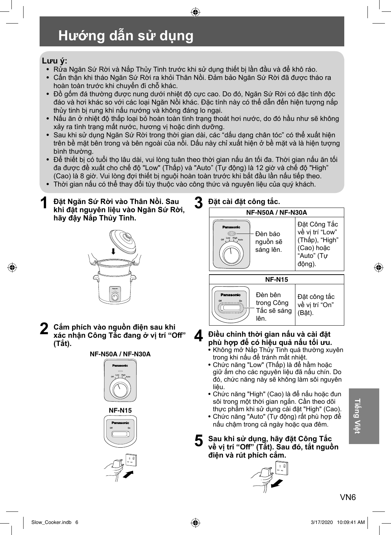## **Hướng dẫn sử dụng**

#### **Lưu ý:**

- Rửa Ngăn Sứ Rời và Nắp Thủy Tinh trước khi sử dụng thiết bị lần đầu và để khô ráo.
- Cẩn thận khi tháo Ngăn Sứ Rời ra khỏi Thân Nồi. Đảm bảo Ngăn Sứ Rời đã được tháo ra hoàn toàn trước khi chuyển đi chỗ khác.

 $\bigoplus$ 

- Đồ gốm đá thường được nung dưới nhiệt độ cực cao. Do đó, Ngăn Sứ Rời có đặc tính độc đáo và hơi khác so với các loại Ngăn Nồi khác. Đặc tính này có thể dẫn đến hiện tượng nắp thủy tinh bị rung khi nấu nướng và không đáng lo ngại.
- Nấu ăn ở nhiệt độ thấp loại bỏ hoàn toàn tình trạng thoát hơi nước, do đó hầu như sẽ không xảy ra tình trạng mất nước, hương vị hoặc dinh dưỡng.
- Sau khi sử dụng Ngăn Sứ Rời trong thời gian dài, các "dấu dạng chân tóc" có thể xuất hiện trên bề mặt bên trong và bên ngoài của nồi. Dấu này chỉ xuất hiện ở bề mặt và là hiện tượng bình thường.
- Để thiết bị có tuổi thọ lâu dài, vui lòng tuân theo thời gian nấu ăn tối đa. Thời gian nấu ăn tối đa được đề xuất cho chế độ "Low" (Thấp) và "Auto" (Tự động) là 12 giờ và chế độ "High" (Cao) là 8 giờ. Vui lòng đợi thiết bị nguội hoàn toàn trước khi bắt đầu lần nấu tiếp theo.
- Thời gian nấu có thể thay đổi tùy thuộc vào công thức và nguyên liệu của quý khách.
- **1 Đặt Ngăn Sứ Rời vào Thân Nồi. Sau khi đặt nguyên liệu vào Ngăn Sứ Rời, hãy đậy Nắp Thủy Tinh.**



**2 Cắm phích vào nguồn điện sau khi xác nhận Công Tắc đang ở vị trí "Off " (Tắt).**

#### **NF-N50A / NF-N30A**





#### **3 Đặt cài đặt công tắc.**



#### **4 Điều chỉnh thời gian nấu và cài đặt phù hợp để có hiệu quả nấu tối ưu.**

- Không mở Nắp Thủy Tinh quá thường xuyên trong khi nấu để tránh mất nhiệt.
- Chức năng "Low" (Thấp) là để hầm hoặc giữ ấm cho các nguyên liệu đã nấu chín. Do đó, chức năng này sẽ không làm sôi nguyên liệu.
- Chức năng "High" (Cao) là để nấu hoặc đun sôi trong một thời gian ngắn. Cần theo dõi thực phẩm khi sử dụng cài đặt "High" (Cao).
- Chức năng "Auto" (Tự động) rất phù hợp để nấu chậm trong cả ngày hoặc qua đêm.
- **5 Sau khi sử dụng, hãy đặt Công Tắc**  về vị trí "Off" (Tắt). Sau đó, tắt nguôn **điện và rút phích cắm.**

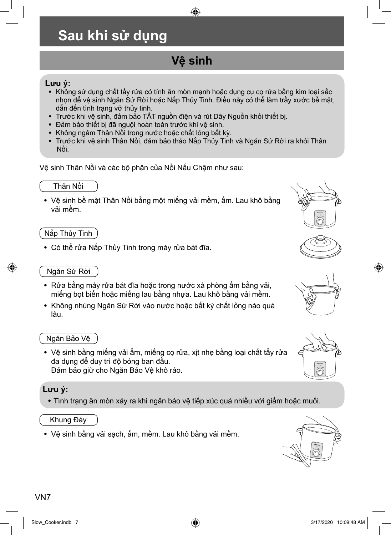### **Sau khi sử dụng**

### **Vệ sinh**

 $\bigoplus$ 

#### **Lưu ý:**

- Không sử dụng chất tẩy rửa có tính ăn mòn mạnh hoặc dụng cụ cọ rửa bằng kim loại sắc nhọn để vệ sinh Ngăn Sứ Rời hoặc Nắp Thủy Tinh. Điều này có thể làm trầy xước bề mặt, dẫn đến tình trạng vỡ thủy tinh.
- Trước khi vệ sinh, đảm bảo TẮT nguồn điện và rút Dây Nguồn khỏi thiết bị.
- Đảm bảo thiết bị đã nguội hoàn toàn trước khi vệ sinh.
- Không ngâm Thân Nồi trong nước hoặc chất lỏng bất kỳ.
- Trước khi vệ sinh Thân Nồi, đảm bảo tháo Nắp Thủy Tinh và Ngăn Sứ Rời ra khỏi Thân Nồi.

Vệ sinh Thân Nồi và các bộ phận của Nồi Nấu Chậm như sau:

#### Thân Nồi

• Vệ sinh bề mặt Thân Nồi bằng một miếng vải mềm, ẩm. Lau khô bằng vải mềm.

#### Nắp Thủy Tinh

• Có thể rửa Nắp Thủy Tinh trong máy rửa bát đĩa.

#### Ngăn Sứ Rời

⊕

- Rửa bằng máy rửa bát đĩa hoặc trong nước xà phòng ấm bằng vải, miếng bọt biển hoặc miếng lau bằng nhựa. Lau khô bằng vải mềm.
- Không nhúng Ngăn Sứ Rời vào nước hoặc bất kỳ chất lỏng nào quá lâu.

#### Ngăn Bảo Vệ

• Vệ sinh bằng miếng vải ẩm, miếng cọ rửa, xịt nhẹ bằng loại chất tẩy rửa đa dụng để duy trì độ bóng ban đầu. Đảm bảo giữ cho Ngăn Bảo Vệ khô ráo.

#### **Lưu ý:**

• Tình trạng ăn mòn xảy ra khi ngăn bảo vệ tiếp xúc quá nhiều với giấm hoặc muối.

#### Khung Đáy

• Vệ sinh bằng vải sạch, ẩm, mềm. Lau khô bằng vải mềm.









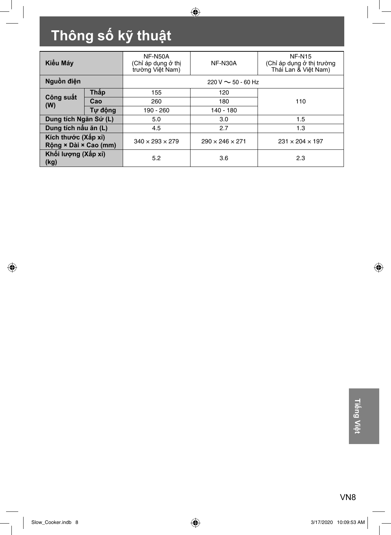# **Thông số kỹ thuật**

| Kiểu Máy                                     |             | NF-N50A<br>(Chỉ áp dụng ở thị<br>trường Việt Nam) | <b>NF-N30A</b>              | <b>NF-N15</b><br>(Chỉ áp dụng ở thị trường<br>Thái Lan & Viêt Nam) |
|----------------------------------------------|-------------|---------------------------------------------------|-----------------------------|--------------------------------------------------------------------|
| Nguồn điện                                   |             | $220 \text{ V} \sim 50 - 60 \text{ Hz}$           |                             |                                                                    |
|                                              | <b>Thập</b> | 155                                               | 120                         |                                                                    |
| Công suất<br>(W)                             | Cao         | 260                                               | 180                         | 110                                                                |
|                                              | Tư đông     | 190 - 260                                         | 140 - 180                   |                                                                    |
| Dung tích Ngăn Sứ (L)                        |             | 5.0                                               | 3.0                         | 1.5                                                                |
| Dung tích nâu ăn (L)                         |             | 4.5                                               | 2.7<br>1.3                  |                                                                    |
| Kích thước (Xấp xỉ)<br>Rông × Dài × Cao (mm) |             | $340 \times 293 \times 279$                       | $290 \times 246 \times 271$ | $231 \times 204 \times 197$                                        |
| Khối lượng (Xấp xỉ)<br>(kg)                  |             | 5.2                                               | 3.6                         | 2.3                                                                |

 $\bigcirc$ 

 $\bigcirc$ 

 $\bigoplus$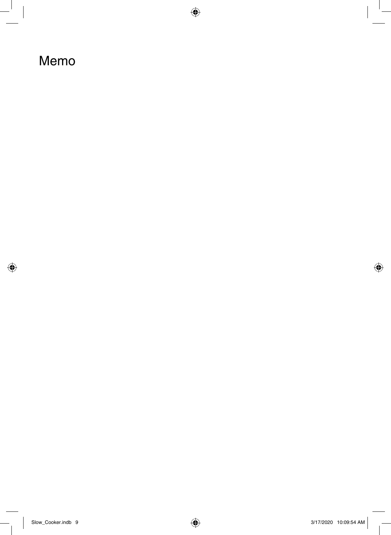### Memo

 $\bigoplus$ 

 $\overline{\phantom{a}}$ 

 $\bigoplus$ 

 $\overline{\phantom{a}}$ 

 $\overline{a}$ 

 $\overline{a}$ 

◈

 $\Big|$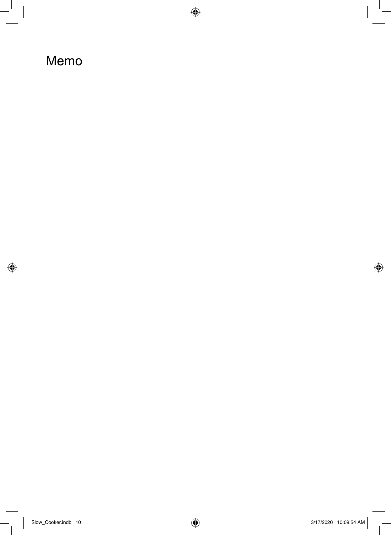## Memo

 $\bigoplus$ 

 $\overline{\phantom{a}}$ 

 $\bigoplus$ 

 $\overline{\phantom{a}}$ 

 $\overline{\phantom{a}}$ 

 $\overline{\overline{\phantom{a}}}$ 

 $\mathbb{I}$ 

◈

 $\begin{array}{c} \hline \end{array}$